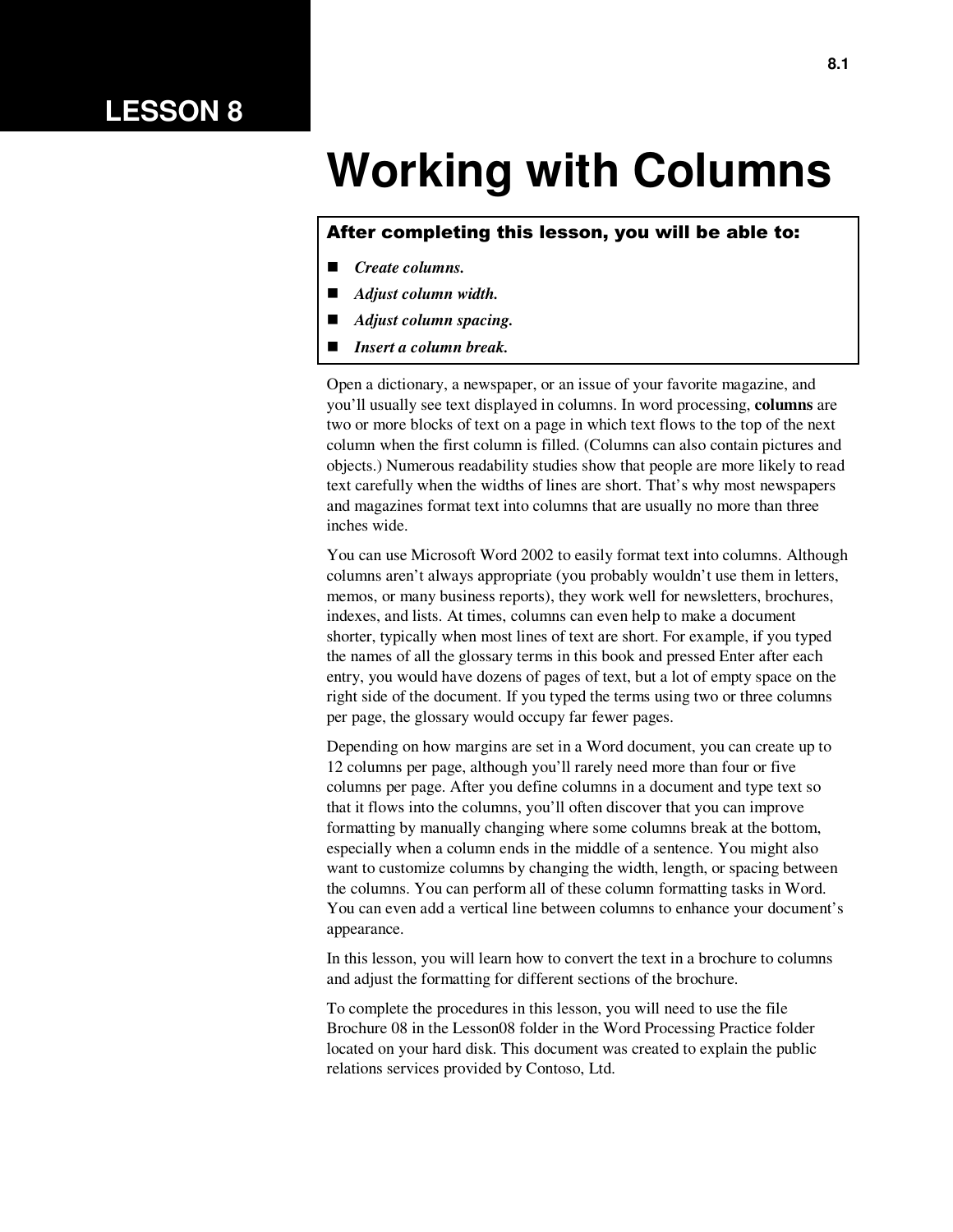## **LESSON 8**

#### After completing this lesson, you will be able to:

- *Create columns.*
- *Adjust column width.*
- *Adjust column spacing.*
- *Insert a column break.*

Open a dictionary, a newspaper, or an issue of your favorite magazine, and you'll usually see text displayed in columns. In word processing, **columns** are two or more blocks of text on a page in which text flows to the top of the next column when the first column is filled. (Columns can also contain pictures and objects.) Numerous readability studies show that people are more likely to read text carefully when the widths of lines are short. That's why most newspapers and magazines format text into columns that are usually no more than three inches wide.

You can use Microsoft Word 2002 to easily format text into columns. Although columns aren't always appropriate (you probably wouldn't use them in letters, memos, or many business reports), they work well for newsletters, brochures, indexes, and lists. At times, columns can even help to make a document shorter, typically when most lines of text are short. For example, if you typed the names of all the glossary terms in this book and pressed Enter after each entry, you would have dozens of pages of text, but a lot of empty space on the right side of the document. If you typed the terms using two or three columns per page, the glossary would occupy far fewer pages.

Depending on how margins are set in a Word document, you can create up to 12 columns per page, although you'll rarely need more than four or five columns per page. After you define columns in a document and type text so that it flows into the columns, you'll often discover that you can improve formatting by manually changing where some columns break at the bottom, especially when a column ends in the middle of a sentence. You might also want to customize columns by changing the width, length, or spacing between the columns. You can perform all of these column formatting tasks in Word. You can even add a vertical line between columns to enhance your document's appearance.

In this lesson, you will learn how to convert the text in a brochure to columns and adjust the formatting for different sections of the brochure.

To complete the procedures in this lesson, you will need to use the file Brochure 08 in the Lesson08 folder in the Word Processing Practice folder located on your hard disk. This document was created to explain the public relations services provided by Contoso, Ltd.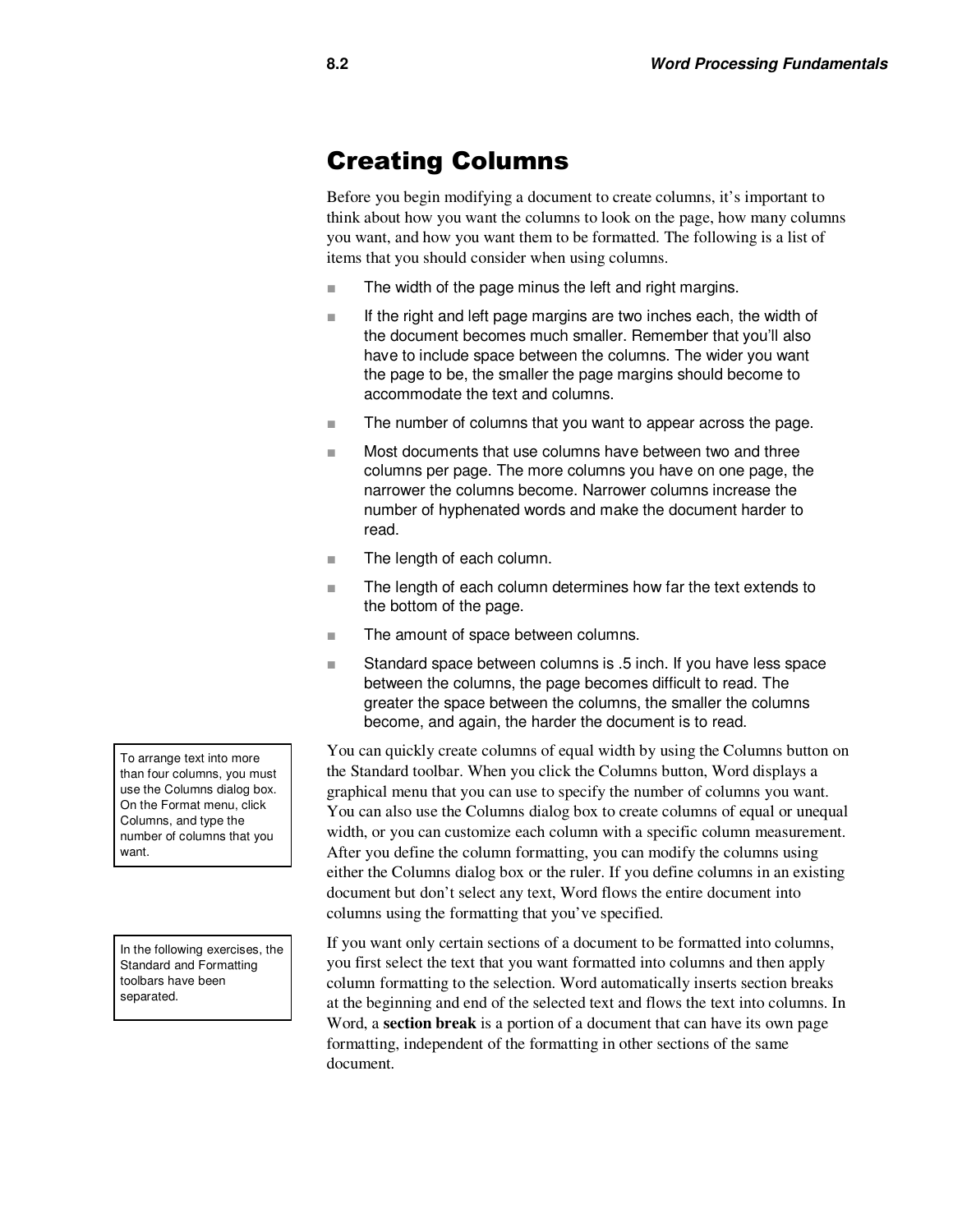## Creating Columns

Before you begin modifying a document to create columns, it's important to think about how you want the columns to look on the page, how many columns you want, and how you want them to be formatted. The following is a list of items that you should consider when using columns.

- The width of the page minus the left and right margins.
- If the right and left page margins are two inches each, the width of the document becomes much smaller. Remember that you'll also have to include space between the columns. The wider you want the page to be, the smaller the page margins should become to accommodate the text and columns.
- The number of columns that you want to appear across the page.
- Most documents that use columns have between two and three columns per page. The more columns you have on one page, the narrower the columns become. Narrower columns increase the number of hyphenated words and make the document harder to read.
- The length of each column.
- The length of each column determines how far the text extends to the bottom of the page.
- The amount of space between columns.
- Standard space between columns is .5 inch. If you have less space between the columns, the page becomes difficult to read. The greater the space between the columns, the smaller the columns become, and again, the harder the document is to read.

You can quickly create columns of equal width by using the Columns button on the Standard toolbar. When you click the Columns button, Word displays a graphical menu that you can use to specify the number of columns you want. You can also use the Columns dialog box to create columns of equal or unequal width, or you can customize each column with a specific column measurement. After you define the column formatting, you can modify the columns using either the Columns dialog box or the ruler. If you define columns in an existing document but don't select any text, Word flows the entire document into columns using the formatting that you've specified.

If you want only certain sections of a document to be formatted into columns, you first select the text that you want formatted into columns and then apply column formatting to the selection. Word automatically inserts section breaks at the beginning and end of the selected text and flows the text into columns. In Word, a **section break** is a portion of a document that can have its own page formatting, independent of the formatting in other sections of the same document.

To arrange text into more than four columns, you must use the Columns dialog box. On the Format menu, click Columns, and type the number of columns that you want.

In the following exercises, the Standard and Formatting toolbars have been separated.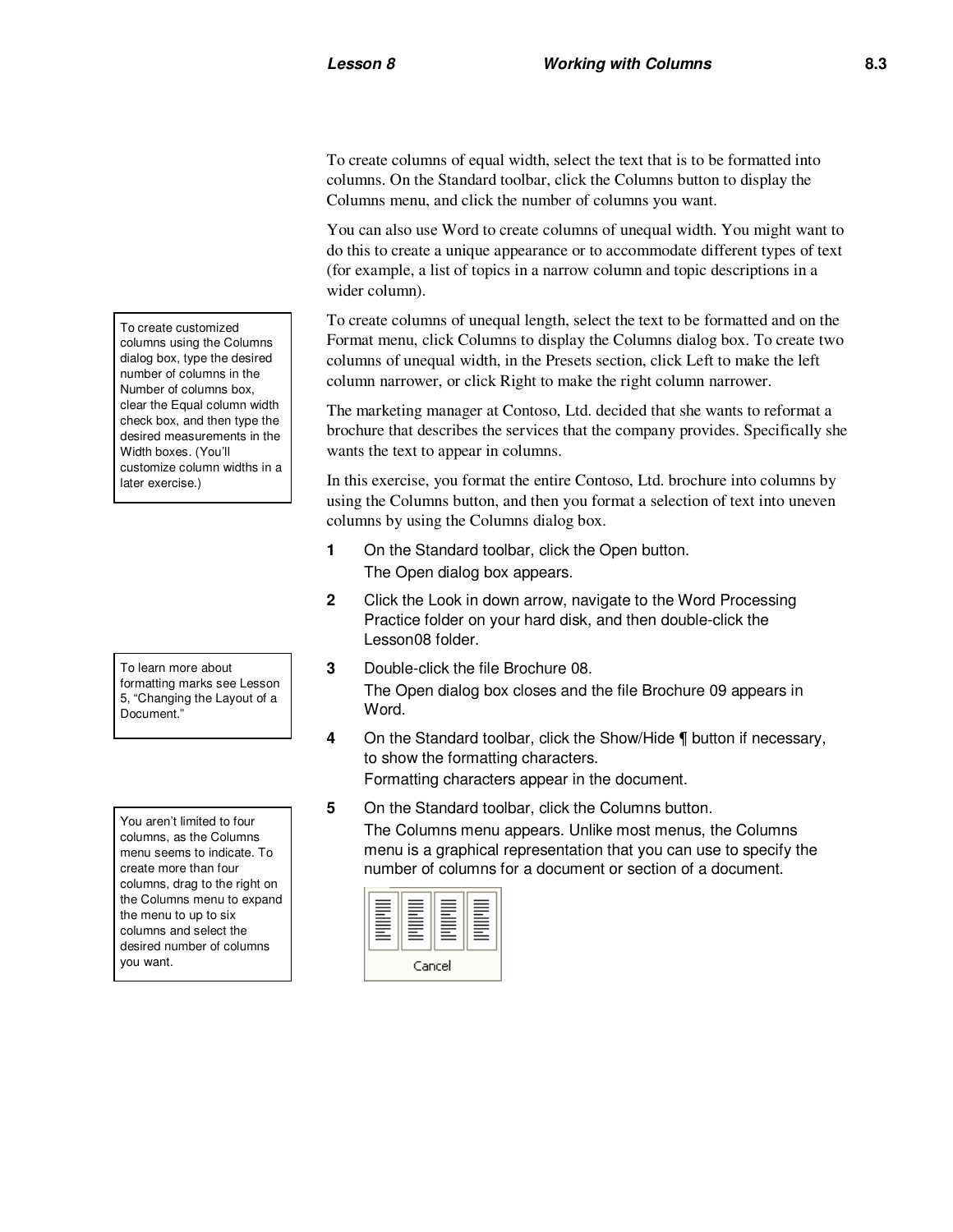To create columns of equal width, select the text that is to be formatted into columns. On the Standard toolbar, click the Columns button to display the Columns menu, and click the number of columns you want.

You can also use Word to create columns of unequal width. You might want to do this to create a unique appearance or to accommodate different types of text (for example, a list of topics in a narrow column and topic descriptions in a wider column).

To create columns of unequal length, select the text to be formatted and on the Format menu, click Columns to display the Columns dialog box. To create two columns of unequal width, in the Presets section, click Left to make the left column narrower, or click Right to make the right column narrower.

The marketing manager at Contoso, Ltd. decided that she wants to reformat a brochure that describes the services that the company provides. Specifically she wants the text to appear in columns.

In this exercise, you format the entire Contoso, Ltd. brochure into columns by using the Columns button, and then you format a selection of text into uneven columns by using the Columns dialog box.

- **1** On the Standard toolbar, click the Open button. The Open dialog box appears.
- **2** Click the Look in down arrow, navigate to the Word Processing Practice folder on your hard disk, and then double-click the Lesson08 folder.
- **3** Double-click the file Brochure 08. The Open dialog box closes and the file Brochure 09 appears in Word.
- **4** On the Standard toolbar, click the Show/Hide ¶ button if necessary, to show the formatting characters.

Formatting characters appear in the document.

**5** On the Standard toolbar, click the Columns button. The Columns menu appears. Unlike most menus, the Columns menu is a graphical representation that you can use to specify the number of columns for a document or section of a document.



To create customized columns using the Columns dialog box, type the desired number of columns in the Number of columns box, clear the Equal column width check box, and then type the desired measurements in the Width boxes. (You'll customize column widths in a later exercise.)

To learn more about formatting marks see Lesson 5, "Changing the Layout of a Document."

You aren't limited to four columns, as the Columns menu seems to indicate. To create more than four columns, drag to the right on the Columns menu to expand the menu to up to six columns and select the desired number of columns you want.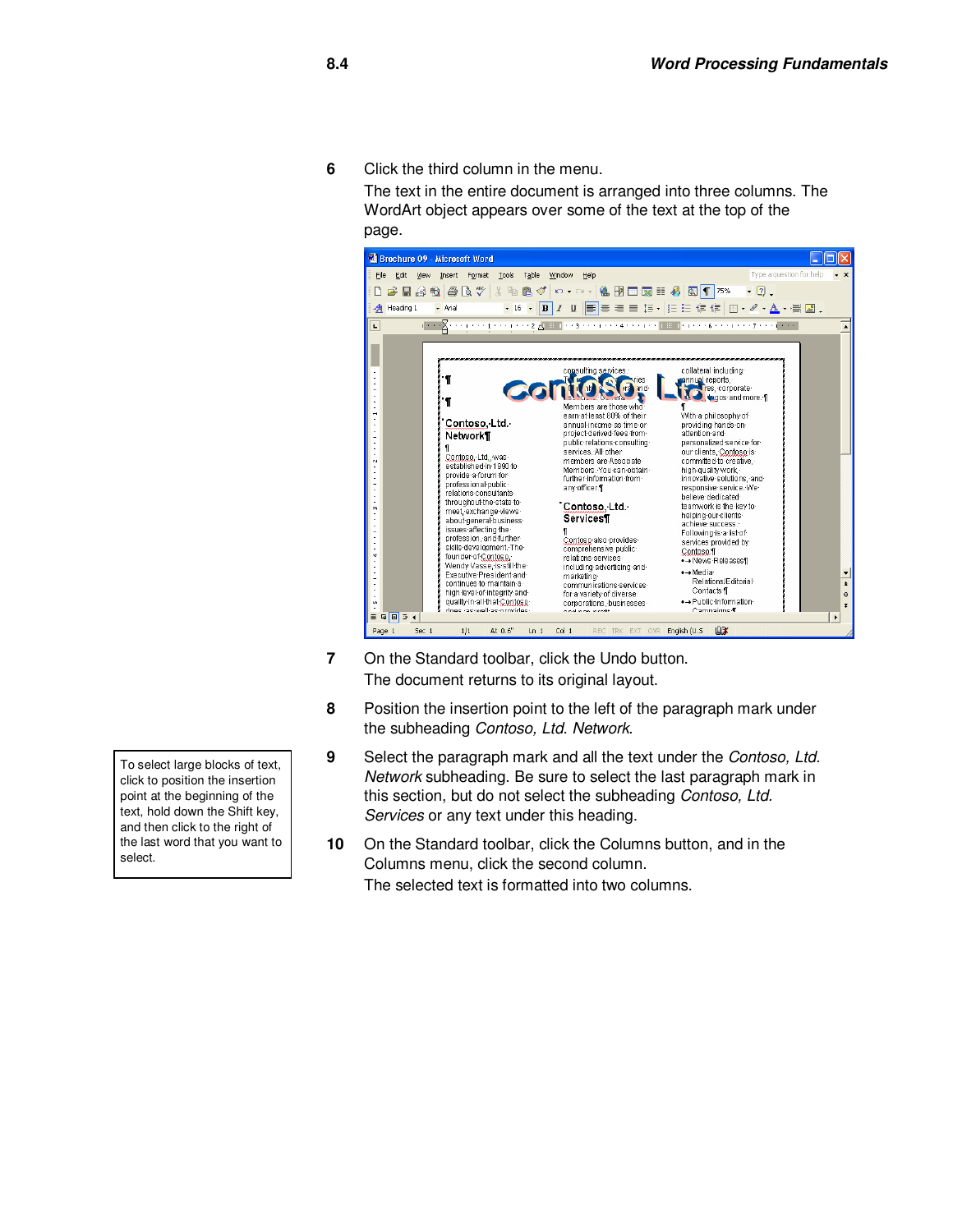**6** Click the third column in the menu.

The text in the entire document is arranged into three columns. The WordArt object appears over some of the text at the top of the page.



- **7** On the Standard toolbar, click the Undo button. The document returns to its original layout.
- **8** Position the insertion point to the left of the paragraph mark under the subheading Contoso, Ltd. Network.
- **9** Select the paragraph mark and all the text under the Contoso, Ltd. Network subheading. Be sure to select the last paragraph mark in this section, but do not select the subheading Contoso, Ltd. Services or any text under this heading.
- **10** On the Standard toolbar, click the Columns button, and in the Columns menu, click the second column. The selected text is formatted into two columns.

To select large blocks of text, click to position the insertion point at the beginning of the text, hold down the Shift key, and then click to the right of the last word that you want to select.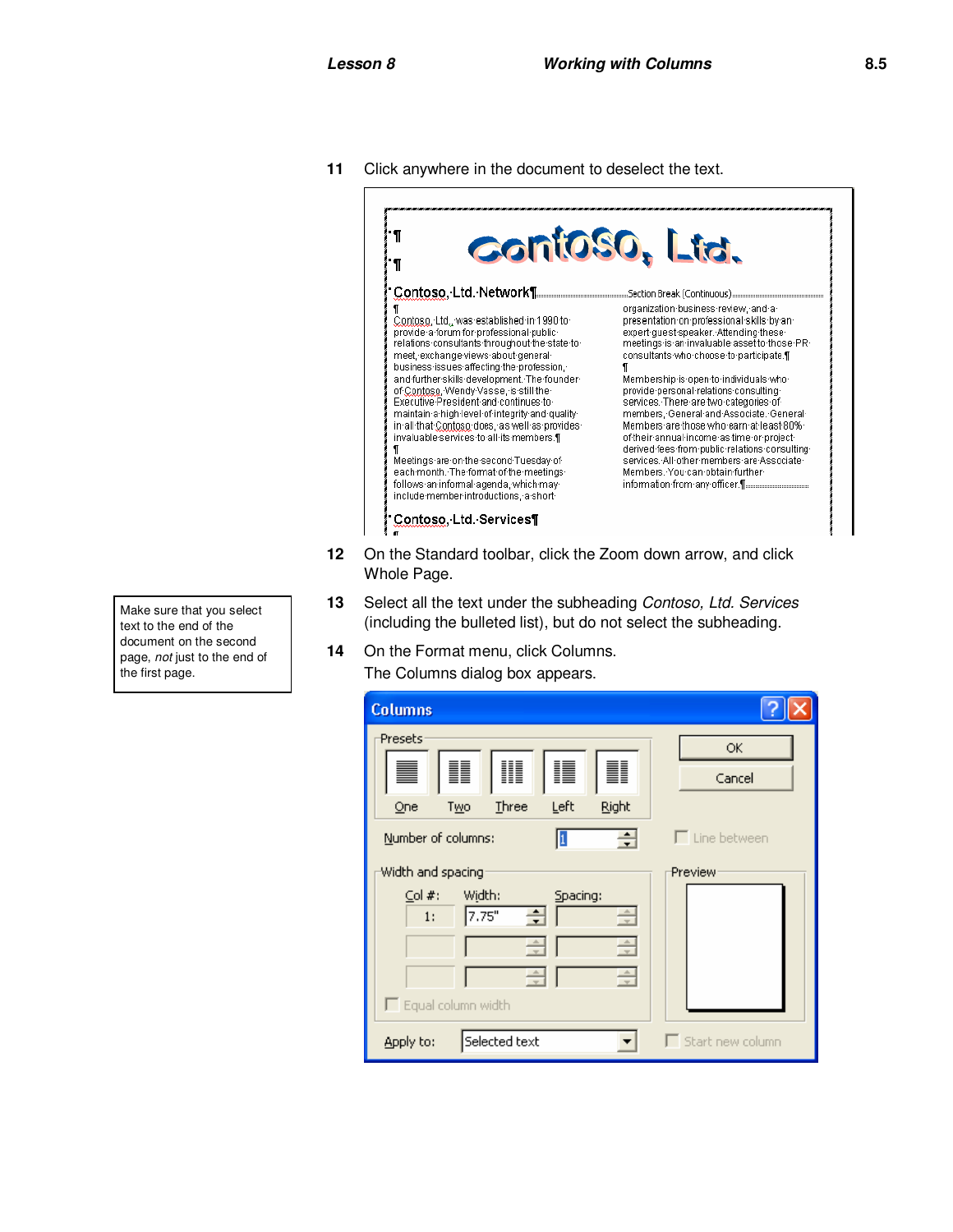**11** Click anywhere in the document to deselect the text.



- **12** On the Standard toolbar, click the Zoom down arrow, and click Whole Page.
- **13** Select all the text under the subheading Contoso, Ltd. Services (including the bulleted list), but do not select the subheading.
- **14** On the Format menu, click Columns. The Columns dialog box appears.

| <b>Columns</b>                                                                                                                                         |                                |
|--------------------------------------------------------------------------------------------------------------------------------------------------------|--------------------------------|
| Presets<br>▓<br>讀<br>H<br>H<br>Left<br>Right<br>Three<br>Two<br>One                                                                                    | OK.<br>Cancel                  |
| Number of columns:<br>I1<br>Width and spacing                                                                                                          | $\Box$ Line between<br>Preview |
| Width:<br>$\subseteq$ ol #:<br>Spacing:<br>7.75"<br>슬<br>÷<br>1:<br>$\frac{1}{\sqrt{2}}$<br>$\frac{1}{\sqrt{2}}$<br>$\div$<br>Equal column width<br>н. |                                |
| Selected text<br>Apply to:                                                                                                                             | $\Box$ Start new column        |

Make sure that you select text to the end of the document on the second page, not just to the end of the first page.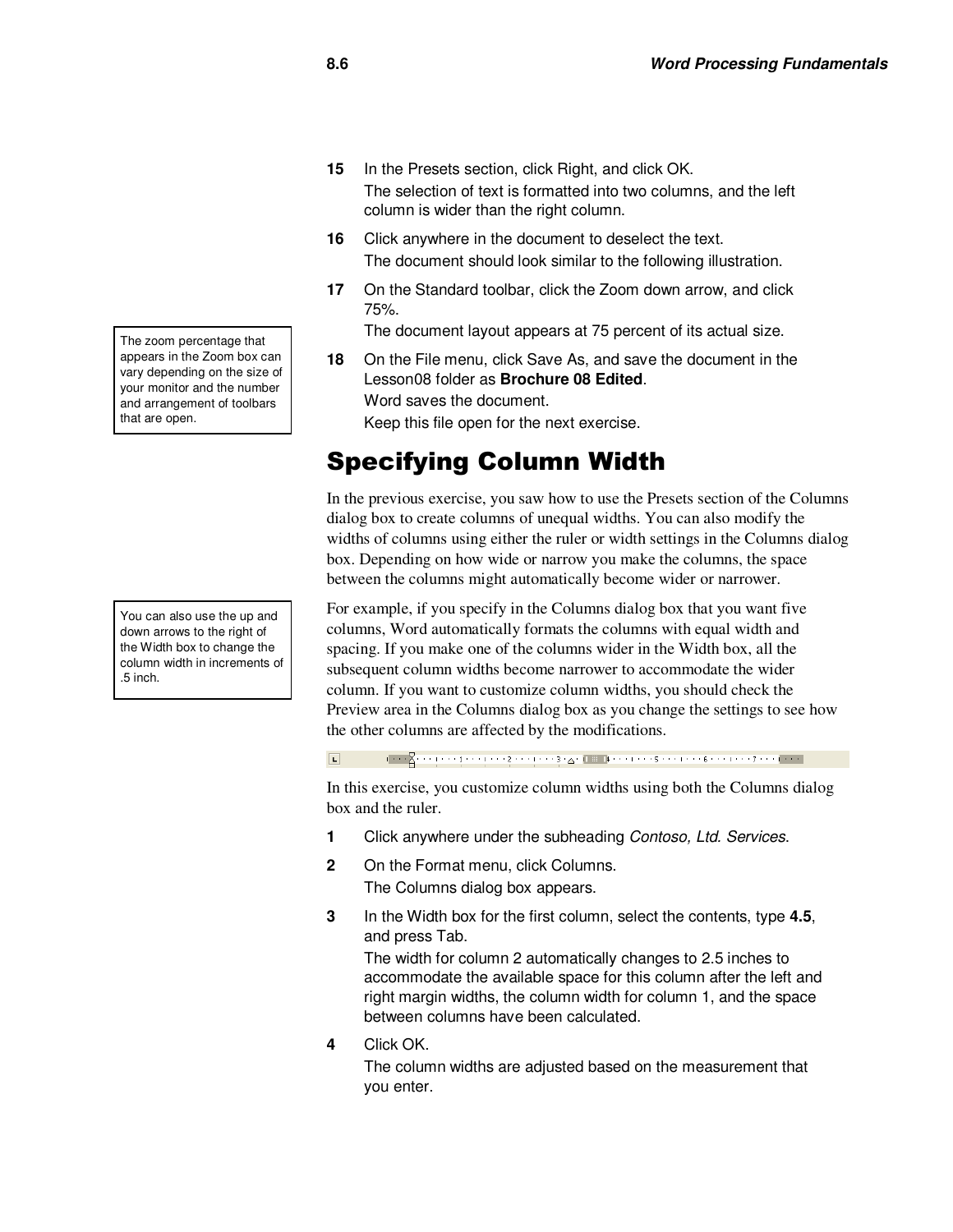- **15** In the Presets section, click Right, and click OK. The selection of text is formatted into two columns, and the left column is wider than the right column.
- **16** Click anywhere in the document to deselect the text. The document should look similar to the following illustration.
- **17** On the Standard toolbar, click the Zoom down arrow, and click 75%.
	- The document layout appears at 75 percent of its actual size.
- **18** On the File menu, click Save As, and save the document in the Lesson08 folder as **Brochure 08 Edited**. Word saves the document.

Keep this file open for the next exercise.

# Specifying Column Width

In the previous exercise, you saw how to use the Presets section of the Columns dialog box to create columns of unequal widths. You can also modify the widths of columns using either the ruler or width settings in the Columns dialog box. Depending on how wide or narrow you make the columns, the space between the columns might automatically become wider or narrower.

For example, if you specify in the Columns dialog box that you want five columns, Word automatically formats the columns with equal width and spacing. If you make one of the columns wider in the Width box, all the subsequent column widths become narrower to accommodate the wider column. If you want to customize column widths, you should check the Preview area in the Columns dialog box as you change the settings to see how the other columns are affected by the modifications.

 $\boxed{\blacksquare}$ 

In this exercise, you customize column widths using both the Columns dialog box and the ruler.

- **1** Click anywhere under the subheading Contoso, Ltd. Services.
- **2** On the Format menu, click Columns.

The Columns dialog box appears.

**3** In the Width box for the first column, select the contents, type **4.5**, and press Tab.

The width for column 2 automatically changes to 2.5 inches to accommodate the available space for this column after the left and right margin widths, the column width for column 1, and the space between columns have been calculated.

**4** Click OK.

The column widths are adjusted based on the measurement that you enter.

The zoom percentage that appears in the Zoom box can vary depending on the size of your monitor and the number and arrangement of toolbars that are open.

You can also use the up and down arrows to the right of the Width box to change the column width in increments of .5 inch.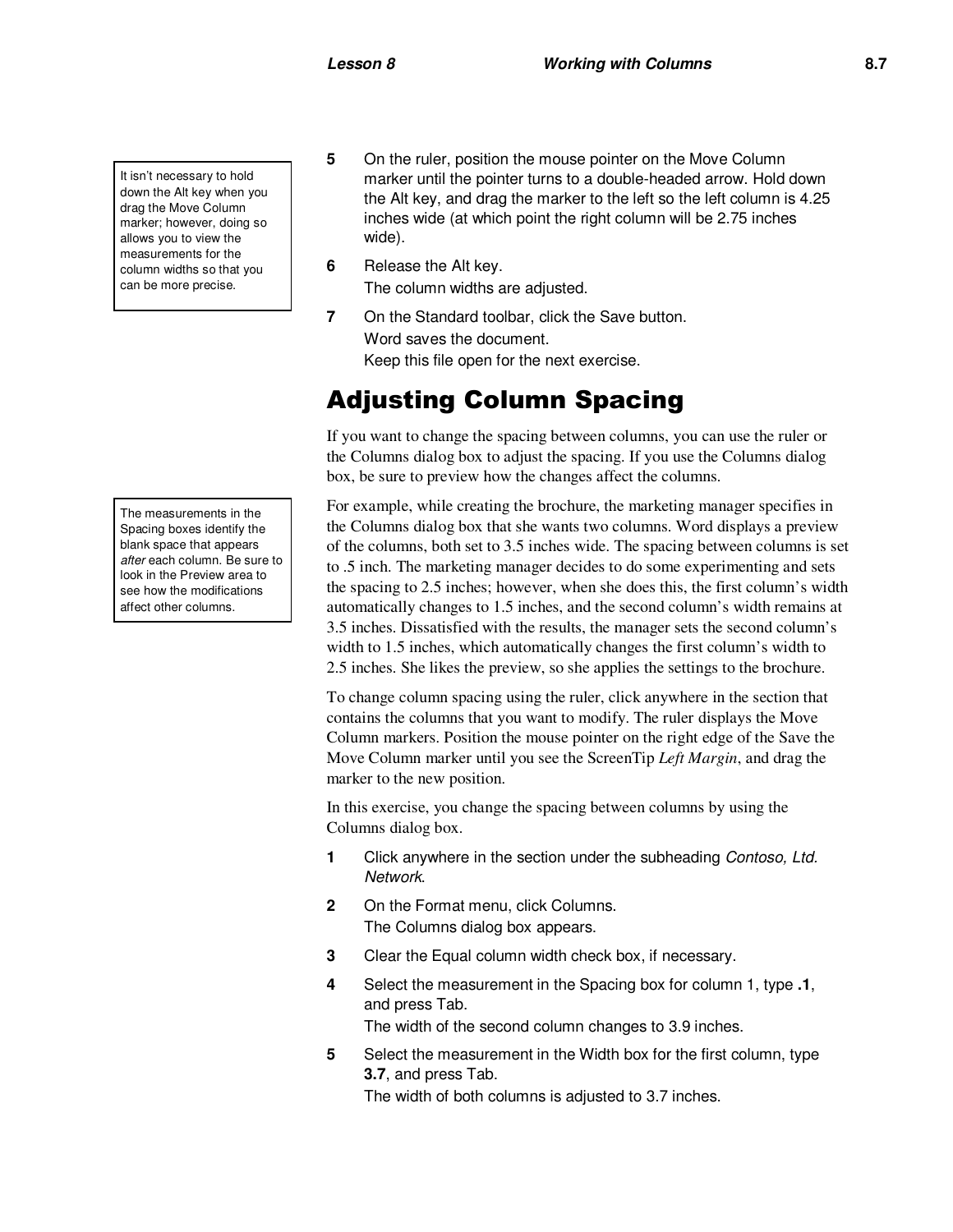It isn't necessary to hold down the Alt key when you drag the Move Column marker; however, doing so allows you to view the measurements for the column widths so that you can be more precise.

The measurements in the Spacing boxes identify the blank space that appears after each column. Be sure to look in the Preview area to see how the modifications affect other columns.

- **5** On the ruler, position the mouse pointer on the Move Column marker until the pointer turns to a double-headed arrow. Hold down the Alt key, and drag the marker to the left so the left column is 4.25 inches wide (at which point the right column will be 2.75 inches wide).
- **6** Release the Alt key. The column widths are adjusted.
- **7** On the Standard toolbar, click the Save button. Word saves the document. Keep this file open for the next exercise.

## Adjusting Column Spacing

If you want to change the spacing between columns, you can use the ruler or the Columns dialog box to adjust the spacing. If you use the Columns dialog box, be sure to preview how the changes affect the columns.

For example, while creating the brochure, the marketing manager specifies in the Columns dialog box that she wants two columns. Word displays a preview of the columns, both set to 3.5 inches wide. The spacing between columns is set to .5 inch. The marketing manager decides to do some experimenting and sets the spacing to 2.5 inches; however, when she does this, the first column's width automatically changes to 1.5 inches, and the second column's width remains at 3.5 inches. Dissatisfied with the results, the manager sets the second column's width to 1.5 inches, which automatically changes the first column's width to 2.5 inches. She likes the preview, so she applies the settings to the brochure.

To change column spacing using the ruler, click anywhere in the section that contains the columns that you want to modify. The ruler displays the Move Column markers. Position the mouse pointer on the right edge of the Save the Move Column marker until you see the ScreenTip *Left Margin*, and drag the marker to the new position.

In this exercise, you change the spacing between columns by using the Columns dialog box.

- **1** Click anywhere in the section under the subheading *Contoso*, Ltd. **Network**
- **2** On the Format menu, click Columns. The Columns dialog box appears.
- **3** Clear the Equal column width check box, if necessary.
- **4** Select the measurement in the Spacing box for column 1, type **.1**, and press Tab.

The width of the second column changes to 3.9 inches.

**5** Select the measurement in the Width box for the first column, type **3.7**, and press Tab.

The width of both columns is adjusted to 3.7 inches.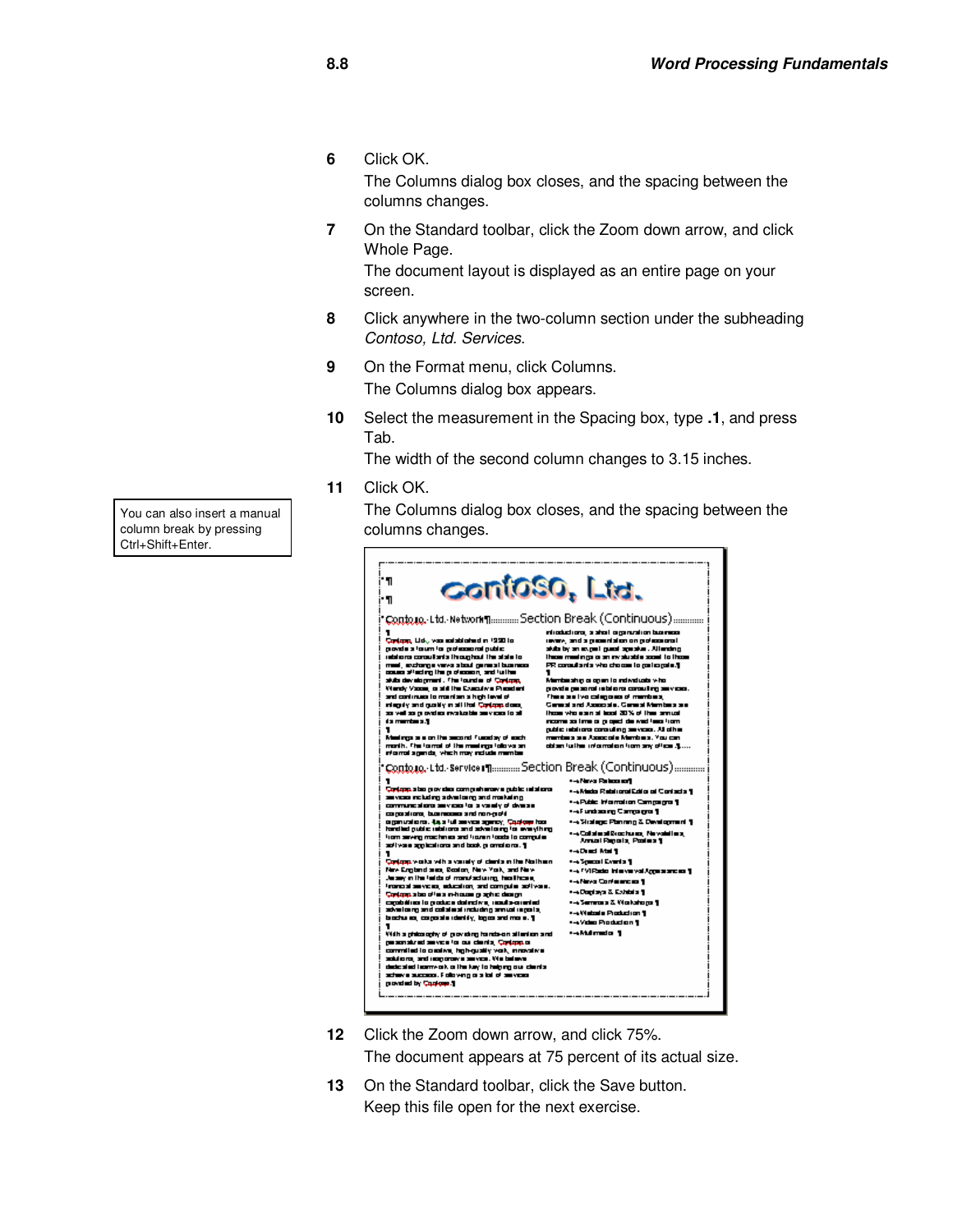- **6** Click OK. The Columns dialog box closes, and the spacing between the columns changes.
- **7** On the Standard toolbar, click the Zoom down arrow, and click Whole Page.

The document layout is displayed as an entire page on your screen.

- **8** Click anywhere in the two-column section under the subheading Contoso, Ltd. Services.
- **9** On the Format menu, click Columns. The Columns dialog box appears.
- **10** Select the measurement in the Spacing box, type **.1**, and press Tab.

The width of the second column changes to 3.15 inches.

**11** Click OK.

The Columns dialog box closes, and the spacing between the columns changes.



- **12** Click the Zoom down arrow, and click 75%. The document appears at 75 percent of its actual size.
- **13** On the Standard toolbar, click the Save button. Keep this file open for the next exercise.

You can also insert a manual column break by pressing Ctrl+Shift+Enter.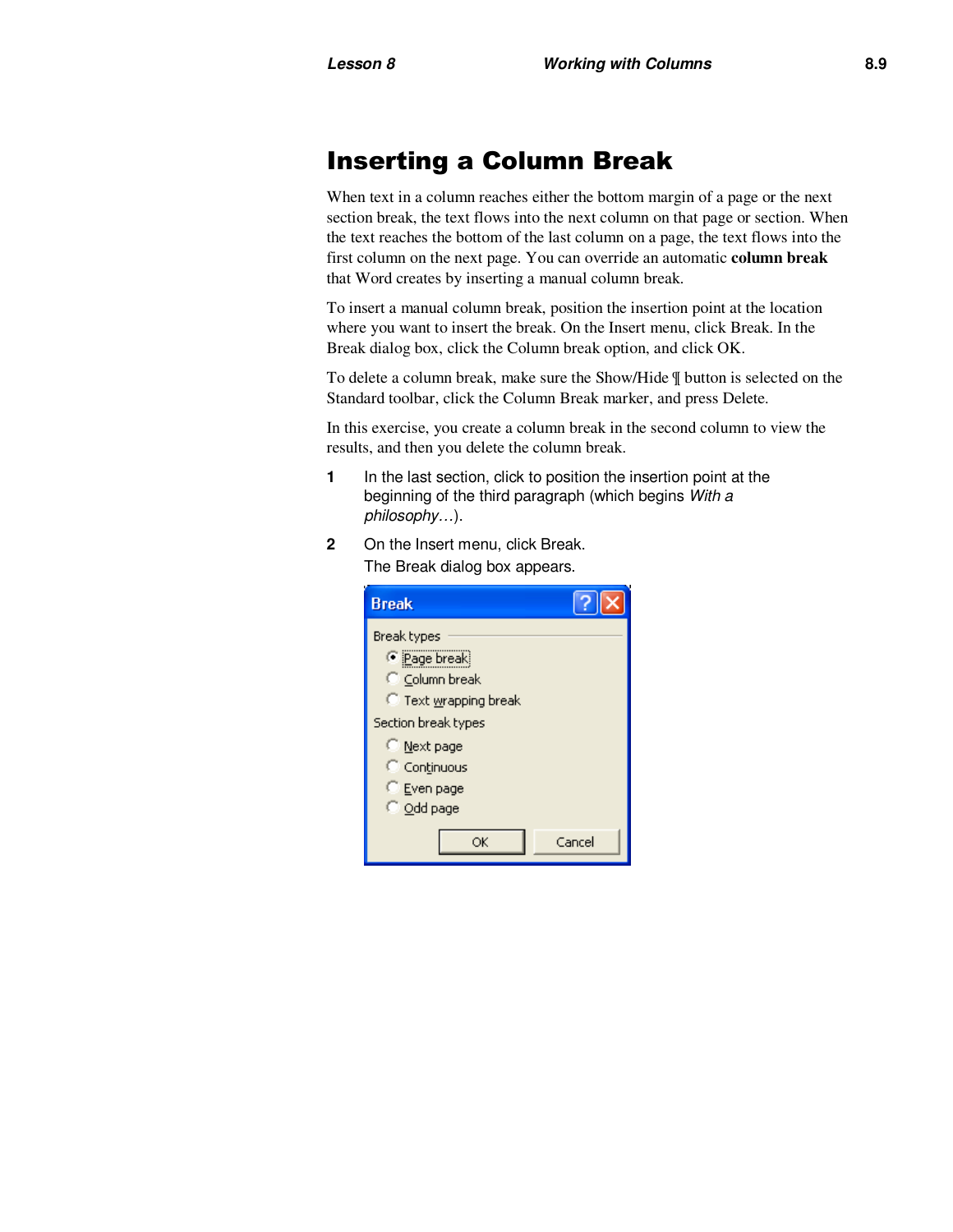### Inserting a Column Break

When text in a column reaches either the bottom margin of a page or the next section break, the text flows into the next column on that page or section. When the text reaches the bottom of the last column on a page, the text flows into the first column on the next page. You can override an automatic **column break** that Word creates by inserting a manual column break.

To insert a manual column break, position the insertion point at the location where you want to insert the break. On the Insert menu, click Break. In the Break dialog box, click the Column break option, and click OK.

To delete a column break, make sure the Show/Hide ¶ button is selected on the Standard toolbar, click the Column Break marker, and press Delete.

In this exercise, you create a column break in the second column to view the results, and then you delete the column break.

- **1** In the last section, click to position the insertion point at the beginning of the third paragraph (which begins With a philosophy…).
- **2** On the Insert menu, click Break. The Break dialog box appears.

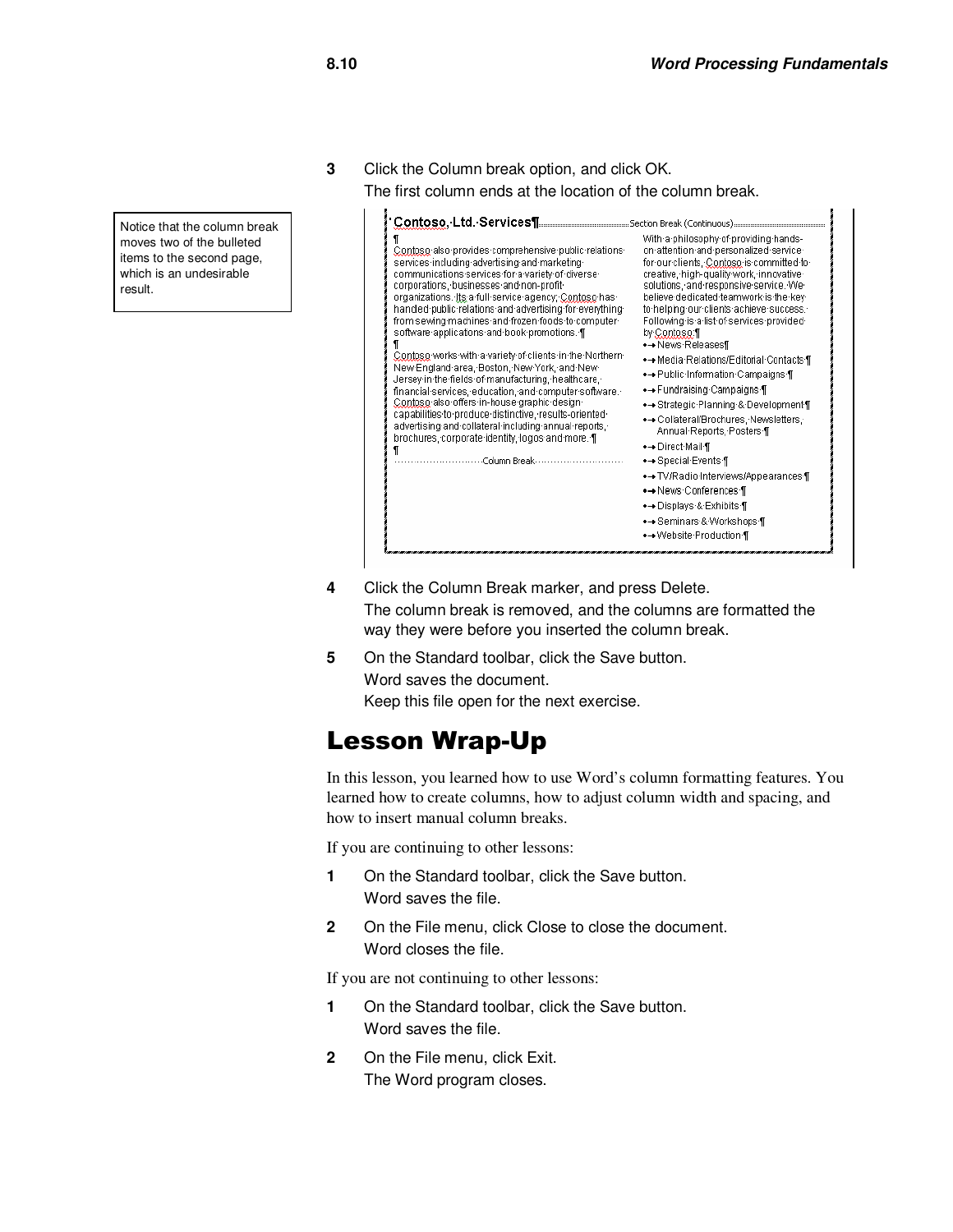**3** Click the Column break option, and click OK.

The first column ends at the location of the column break. With a philosophy of providing hands-Contoso also provides comprehensive public relations. on attention and personalized service services including advertising and marketing for our clients, Contoso is committed to communications services for a variety of diversecreative, high-quality work, innovative corporations, businesses and non-profit solutions, and responsive service. We organizations, Its a full service agency, Contoso has believe dedicated teamwork is the keyhandled public relations and advertising for everything to-helping-our-clients-achieve-success.from sewing machines and frozen foods to computer Following is a list of services provided software applications and book promotions. \[ by Contaso T • → News Releases¶ Contoso works with a variety of clients in the Northern-•→Media·Relations/Editorial·Contacts·¶ New England area, Boston, New York, and New •→ Public Information Campaigns ¶ Jersey in the fields of manufacturing, healthcare, financial services, education, and computer software. •→Fundraising·Campaigns·¶ Contoso also offers in-house graphic design • Strategic Planning & Development ¶ capabilities to produce distinctive, results-oriented-·- Collateral/Brochures, Newsletters, advertising and collateral including annual reports, Annual Reports, Posters | brochures, corporate identity, logos and more. 1 • → Direct Mail ¶ ſ • + Special Events ¶ •→TV/Radio·Interviews/Appearances·¶ •→ News Conferences ¶ • → Displays & Exhibits ¶ •→Seminars & Workshops ¶ •→Website·Production·¶

- **4** Click the Column Break marker, and press Delete. The column break is removed, and the columns are formatted the way they were before you inserted the column break.
- **5** On the Standard toolbar, click the Save button. Word saves the document. Keep this file open for the next exercise.

#### Lesson Wrap-Up

In this lesson, you learned how to use Word's column formatting features. You learned how to create columns, how to adjust column width and spacing, and how to insert manual column breaks.

If you are continuing to other lessons:

- **1** On the Standard toolbar, click the Save button. Word saves the file.
- **2** On the File menu, click Close to close the document. Word closes the file.

If you are not continuing to other lessons:

- **1** On the Standard toolbar, click the Save button. Word saves the file.
- **2** On the File menu, click Exit. The Word program closes.

Notice that the column break moves two of the bulleted items to the second page, which is an undesirable result.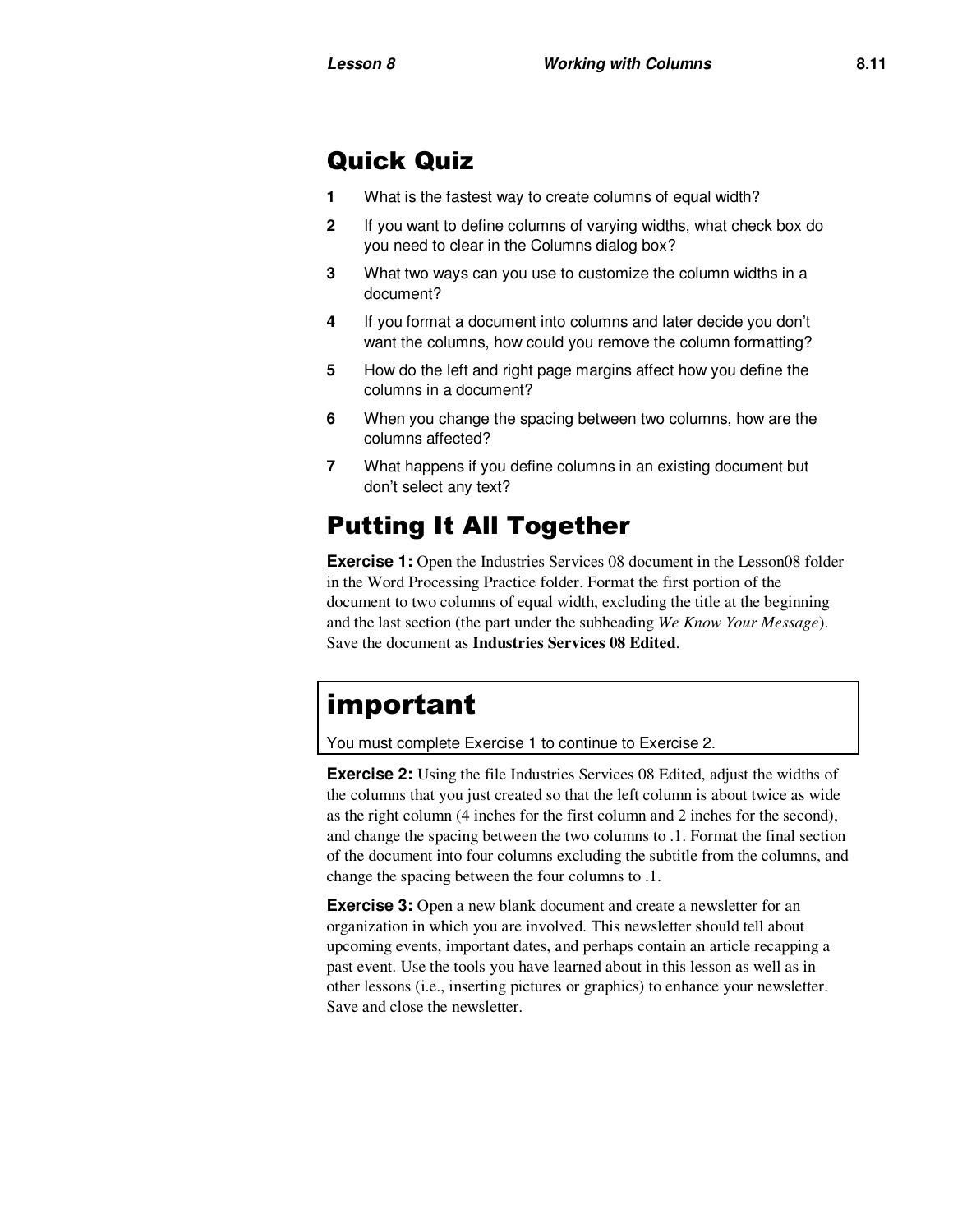## Quick Quiz

- **1** What is the fastest way to create columns of equal width?
- **2** If you want to define columns of varying widths, what check box do you need to clear in the Columns dialog box?
- **3** What two ways can you use to customize the column widths in a document?
- **4** If you format a document into columns and later decide you don't want the columns, how could you remove the column formatting?
- **5** How do the left and right page margins affect how you define the columns in a document?
- **6** When you change the spacing between two columns, how are the columns affected?
- **7** What happens if you define columns in an existing document but don't select any text?

## Putting It All Together

**Exercise 1:** Open the Industries Services 08 document in the Lesson08 folder in the Word Processing Practice folder. Format the first portion of the document to two columns of equal width, excluding the title at the beginning and the last section (the part under the subheading *We Know Your Message*). Save the document as **Industries Services 08 Edited**.

# important

You must complete Exercise 1 to continue to Exercise 2.

**Exercise 2:** Using the file Industries Services 08 Edited, adjust the widths of the columns that you just created so that the left column is about twice as wide as the right column (4 inches for the first column and 2 inches for the second), and change the spacing between the two columns to .1. Format the final section of the document into four columns excluding the subtitle from the columns, and change the spacing between the four columns to .1.

**Exercise 3:** Open a new blank document and create a newsletter for an organization in which you are involved. This newsletter should tell about upcoming events, important dates, and perhaps contain an article recapping a past event. Use the tools you have learned about in this lesson as well as in other lessons (i.e., inserting pictures or graphics) to enhance your newsletter. Save and close the newsletter.